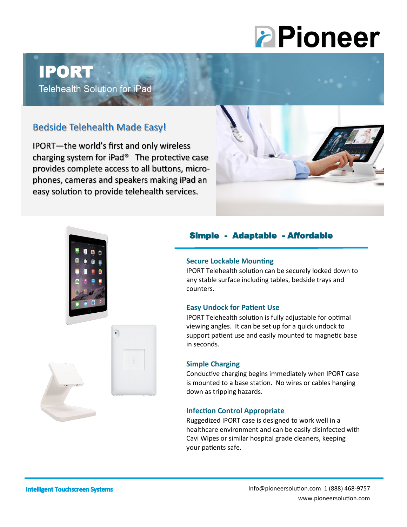# **PPioneer**

# IPORT

Telehealth Solution for iPad

## Bedside Telehealth Made Easy!

IPORT—the world's first and only wireless charging system for iPad® The protective case provides complete access to all buttons, microphones, cameras and speakers making iPad an easy solution to provide telehealth services.





### Simple - Adaptable - Affordable

#### **Secure Lockable Mounting**

IPORT Telehealth solution can be securely locked down to any stable surface including tables, bedside trays and counters.

#### **Easy Undock for Patient Use**

IPORT Telehealth solution is fully adjustable for optimal viewing angles. It can be set up for a quick undock to support patient use and easily mounted to magnetic base in seconds.

#### **Simple Charging**

Conductive charging begins immediately when IPORT case is mounted to a base station. No wires or cables hanging down as tripping hazards.

#### **Infection Control Appropriate**

Ruggedized IPORT case is designed to work well in a healthcare environment and can be easily disinfected with Cavi Wipes or similar hospital grade cleaners, keeping your patients safe.